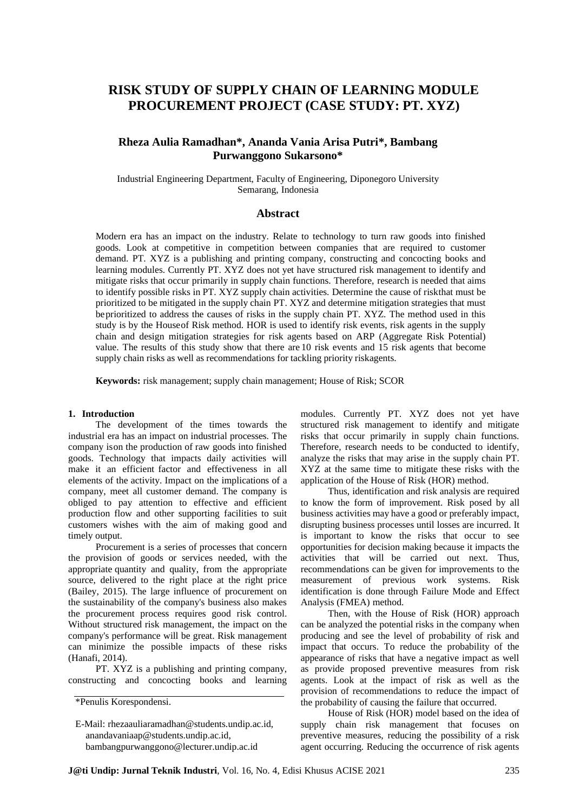# **RISK STUDY OF SUPPLY CHAIN OF LEARNING MODULE PROCUREMENT PROJECT (CASE STUDY: PT. XYZ)**

# **Rheza Aulia Ramadhan\*, Ananda Vania Arisa Putri\*, Bambang Purwanggono Sukarsono\***

Industrial Engineering Department, Faculty of Engineering, Diponegoro University Semarang, Indonesia

#### **Abstract**

Modern era has an impact on the industry. Relate to technology to turn raw goods into finished goods. Look at competitive in competition between companies that are required to customer demand. PT. XYZ is a publishing and printing company, constructing and concocting books and learning modules. Currently PT. XYZ does not yet have structured risk management to identify and mitigate risks that occur primarily in supply chain functions. Therefore, research is needed that aims to identify possible risks in PT. XYZ supply chain activities. Determine the cause of riskthat must be prioritized to be mitigated in the supply chain PT. XYZ and determine mitigation strategies that must beprioritized to address the causes of risks in the supply chain PT. XYZ. The method used in this study is by the Houseof Risk method. HOR is used to identify risk events, risk agents in the supply chain and design mitigation strategies for risk agents based on ARP (Aggregate Risk Potential) value. The results of this study show that there are 10 risk events and 15 risk agents that become supply chain risks as well as recommendations for tackling priority riskagents.

**Keywords:** risk management; supply chain management; House of Risk; SCOR

#### **1. Introduction**

The development of the times towards the industrial era has an impact on industrial processes. The company ison the production of raw goods into finished goods. Technology that impacts daily activities will make it an efficient factor and effectiveness in all elements of the activity. Impact on the implications of a company, meet all customer demand. The company is obliged to pay attention to effective and efficient production flow and other supporting facilities to suit customers wishes with the aim of making good and timely output.

Procurement is a series of processes that concern the provision of goods or services needed, with the appropriate quantity and quality, from the appropriate source, delivered to the right place at the right price (Bailey, 2015). The large influence of procurement on the sustainability of the company's business also makes the procurement process requires good risk control. Without structured risk management, the impact on the company's performance will be great. Risk management can minimize the possible impacts of these risks (Hanafi, 2014).

PT. XYZ is a publishing and printing company, constructing and concocting books and learning modules. Currently PT. XYZ does not yet have structured risk management to identify and mitigate risks that occur primarily in supply chain functions. Therefore, research needs to be conducted to identify, analyze the risks that may arise in the supply chain PT. XYZ at the same time to mitigate these risks with the application of the House of Risk (HOR) method.

Thus, identification and risk analysis are required to know the form of improvement. Risk posed by all business activities may have a good or preferably impact, disrupting business processes until losses are incurred. It is important to know the risks that occur to see opportunities for decision making because it impacts the activities that will be carried out next. Thus, recommendations can be given for improvements to the measurement of previous work systems. Risk identification is done through Failure Mode and Effect Analysis (FMEA) method.

Then, with the House of Risk (HOR) approach can be analyzed the potential risks in the company when producing and see the level of probability of risk and impact that occurs. To reduce the probability of the appearance of risks that have a negative impact as well as provide proposed preventive measures from risk agents. Look at the impact of risk as well as the provision of recommendations to reduce the impact of the probability of causing the failure that occurred.

House of Risk (HOR) model based on the idea of supply chain risk management that focuses on preventive measures, reducing the possibility of a risk agent occurring. Reducing the occurrence of risk agents

<sup>\*</sup>Penulis Korespondensi.

E-Mail: rhezaauliaramadhan@students.undip.ac.id, anandavaniaap@students.undip.ac.id, bambangpurwanggono@lecturer.undip.ac.id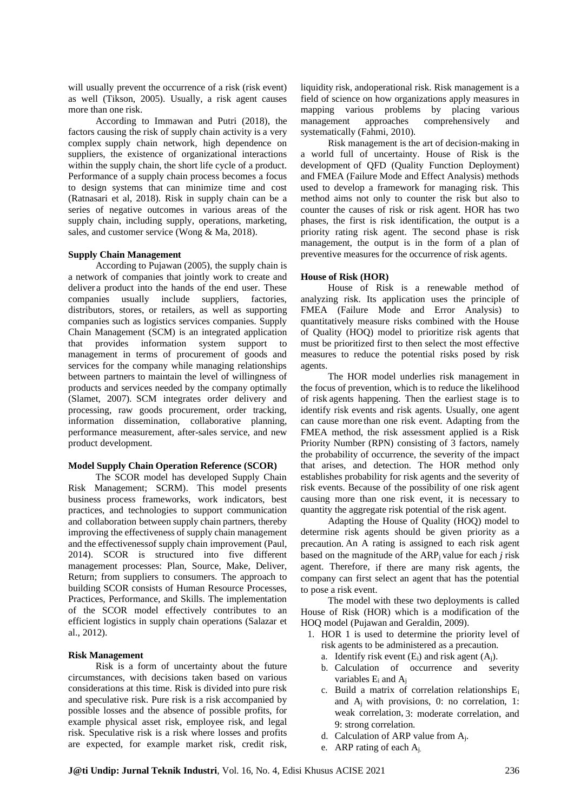will usually prevent the occurrence of a risk (risk event) as well (Tikson, 2005). Usually, a risk agent causes more than one risk.

According to Immawan and Putri (2018), the factors causing the risk of supply chain activity is a very complex supply chain network, high dependence on suppliers, the existence of organizational interactions within the supply chain, the short life cycle of a product. Performance of a supply chain process becomes a focus to design systems that can minimize time and cost (Ratnasari et al, 2018). Risk in supply chain can be a series of negative outcomes in various areas of the supply chain, including supply, operations, marketing, sales, and customer service (Wong & Ma, 2018).

#### **Supply Chain Management**

According to Pujawan (2005), the supply chain is a network of companies that jointly work to create and deliver a product into the hands of the end user. These companies usually include suppliers, factories, distributors, stores, or retailers, as well as supporting companies such as logistics services companies. Supply Chain Management (SCM) is an integrated application that provides information system support to management in terms of procurement of goods and services for the company while managing relationships between partners to maintain the level of willingness of products and services needed by the company optimally (Slamet, 2007). SCM integrates order delivery and processing, raw goods procurement, order tracking, information dissemination, collaborative planning, performance measurement, after-sales service, and new product development.

#### **Model Supply Chain Operation Reference (SCOR)**

The SCOR model has developed Supply Chain Risk Management; SCRM). This model presents business process frameworks, work indicators, best practices, and technologies to support communication and collaboration between supply chain partners, thereby improving the effectiveness of supply chain management and the effectivenessof supply chain improvement (Paul, 2014). SCOR is structured into five different management processes: Plan, Source, Make, Deliver, Return; from suppliers to consumers. The approach to building SCOR consists of Human Resource Processes, Practices, Performance, and Skills. The implementation of the SCOR model effectively contributes to an efficient logistics in supply chain operations (Salazar et al., 2012).

#### **Risk Management**

Risk is a form of uncertainty about the future circumstances, with decisions taken based on various considerations at this time. Risk is divided into pure risk and speculative risk. Pure risk is a risk accompanied by possible losses and the absence of possible profits, for example physical asset risk, employee risk, and legal risk. Speculative risk is a risk where losses and profits are expected, for example market risk, credit risk,

liquidity risk, andoperational risk. Risk management is a field of science on how organizations apply measures in mapping various problems by placing various management approaches comprehensively and systematically (Fahmi, 2010).

Risk management is the art of decision-making in a world full of uncertainty. House of Risk is the development of QFD (Quality Function Deployment) and FMEA (Failure Mode and Effect Analysis) methods used to develop a framework for managing risk. This method aims not only to counter the risk but also to counter the causes of risk or risk agent. HOR has two phases, the first is risk identification, the output is a priority rating risk agent. The second phase is risk management, the output is in the form of a plan of preventive measures for the occurrence of risk agents.

### **House of Risk (HOR)**

House of Risk is a renewable method of analyzing risk. Its application uses the principle of FMEA (Failure Mode and Error Analysis) to quantitatively measure risks combined with the House of Quality (HOQ) model to prioritize risk agents that must be prioritized first to then select the most effective measures to reduce the potential risks posed by risk agents.

The HOR model underlies risk management in the focus of prevention, which is to reduce the likelihood of risk agents happening. Then the earliest stage is to identify risk events and risk agents. Usually, one agent can cause more than one risk event. Adapting from the FMEA method, the risk assessment applied is a Risk Priority Number (RPN) consisting of 3 factors, namely the probability of occurrence, the severity of the impact that arises, and detection. The HOR method only establishes probability for risk agents and the severity of risk events. Because of the possibility of one risk agent causing more than one risk event, it is necessary to quantity the aggregate risk potential of the risk agent.

Adapting the House of Quality (HOQ) model to determine risk agents should be given priority as a precaution. An A rating is assigned to each risk agent based on the magnitude of the ARPj value for each *j* risk agent. Therefore, if there are many risk agents, the company can first select an agent that has the potential to pose a risk event.

The model with these two deployments is called House of Risk (HOR) which is a modification of the HOQ model (Pujawan and Geraldin, 2009).

- 1. HOR 1 is used to determine the priority level of risk agents to be administered as a precaution.
	- a. Identify risk event  $(E_i)$  and risk agent  $(A_i)$ .
	- b. Calculation of occurrence and severity variables E<sub>i</sub> and A<sub>i</sub>
	- c. Build a matrix of correlation relationships E<sup>i</sup> and  $A_i$  with provisions, 0: no correlation, 1: weak correlation, 3: moderate correlation, and 9: strong correlation.
	- d. Calculation of ARP value from Aj.
	- e. ARP rating of each Aj.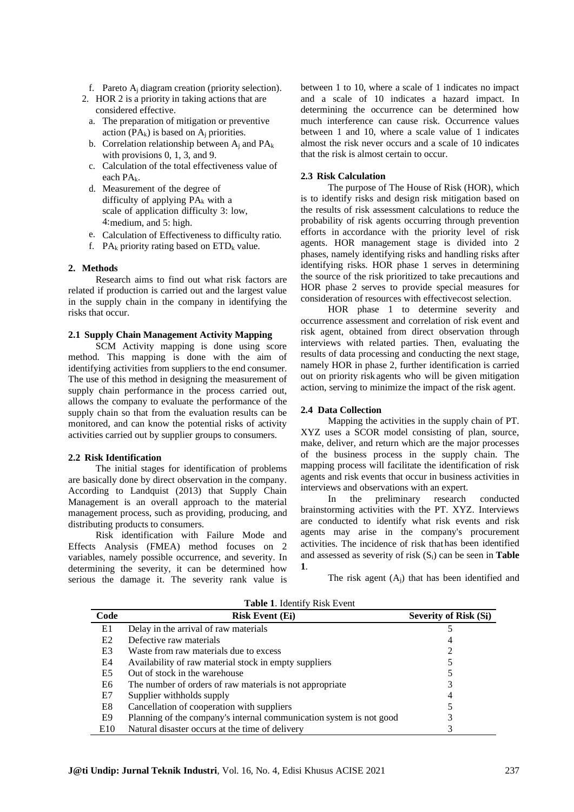f. Pareto  $A_i$  diagram creation (priority selection).

- 2. HOR 2 is a priority in taking actions that are considered effective.
	- a. The preparation of mitigation or preventive action  $(PA_k)$  is based on  $A_i$  priorities.
	- b. Correlation relationship between  $A_i$  and  $PA_k$ with provisions 0, 1, 3, and 9.
	- c. Calculation of the total effectiveness value of each PA<sub>k</sub>.
	- d. Measurement of the degree of difficulty of applying  $PA_k$  with a scale of application difficulty 3: low, 4:medium, and 5: high.
	- e. Calculation of Effectiveness to difficulty ratio.
	- f.  $PA_k$  priority rating based on  $ETD_k$  value.

## **2. Methods**

Research aims to find out what risk factors are related if production is carried out and the largest value in the supply chain in the company in identifying the risks that occur.

## **2.1 Supply Chain Management Activity Mapping**

SCM Activity mapping is done using score method. This mapping is done with the aim of identifying activities from suppliers to the end consumer. The use of this method in designing the measurement of supply chain performance in the process carried out, allows the company to evaluate the performance of the supply chain so that from the evaluation results can be monitored, and can know the potential risks of activity activities carried out by supplier groups to consumers.

#### **2.2 Risk Identification**

The initial stages for identification of problems are basically done by direct observation in the company. According to Landquist (2013) that Supply Chain Management is an overall approach to the material management process, such as providing, producing, and distributing products to consumers.

Risk identification with Failure Mode and Effects Analysis (FMEA) method focuses on 2 variables, namely possible occurrence, and severity. In determining the severity, it can be determined how serious the damage it. The severity rank value is between 1 to 10, where a scale of 1 indicates no impact and a scale of 10 indicates a hazard impact. In determining the occurrence can be determined how much interference can cause risk. Occurrence values between 1 and 10, where a scale value of 1 indicates almost the risk never occurs and a scale of 10 indicates that the risk is almost certain to occur.

#### **2.3 Risk Calculation**

The purpose of The House of Risk (HOR), which is to identify risks and design risk mitigation based on the results of risk assessment calculations to reduce the probability of risk agents occurring through prevention efforts in accordance with the priority level of risk agents. HOR management stage is divided into 2 phases, namely identifying risks and handling risks after identifying risks. HOR phase 1 serves in determining the source of the risk prioritized to take precautions and HOR phase 2 serves to provide special measures for consideration of resources with effectivecost selection.

HOR phase 1 to determine severity and occurrence assessment and correlation of risk event and risk agent, obtained from direct observation through interviews with related parties. Then, evaluating the results of data processing and conducting the next stage, namely HOR in phase 2, further identification is carried out on priority riskagents who will be given mitigation action, serving to minimize the impact of the risk agent.

#### **2.4 Data Collection**

Mapping the activities in the supply chain of PT. XYZ uses a SCOR model consisting of plan, source, make, deliver, and return which are the major processes of the business process in the supply chain. The mapping process will facilitate the identification of risk agents and risk events that occur in business activities in interviews and observations with an expert.

In the preliminary research conducted brainstorming activities with the PT. XYZ. Interviews are conducted to identify what risk events and risk agents may arise in the company's procurement activities. The incidence of risk thathas been identified and assessed as severity of risk (Si) can be seen in **Table 1**.

The risk agent  $(A<sub>i</sub>)$  that has been identified and

| Code           | <b>Risk Event (Ej)</b>                                              | Severity of Risk (Si) |
|----------------|---------------------------------------------------------------------|-----------------------|
| E1             | Delay in the arrival of raw materials                               |                       |
| E <sub>2</sub> | Defective raw materials                                             |                       |
| E <sub>3</sub> | Waste from raw materials due to excess                              |                       |
|                |                                                                     |                       |
| E4             | Availability of raw material stock in empty suppliers               |                       |
| E5             | Out of stock in the warehouse                                       |                       |
| E6             | The number of orders of raw materials is not appropriate            |                       |
| E7             | Supplier withholds supply                                           |                       |
| E8             | Cancellation of cooperation with suppliers                          |                       |
| E9             | Planning of the company's internal communication system is not good |                       |
| E10            | Natural disaster occurs at the time of delivery                     |                       |

**Table 1**. Identify Risk Event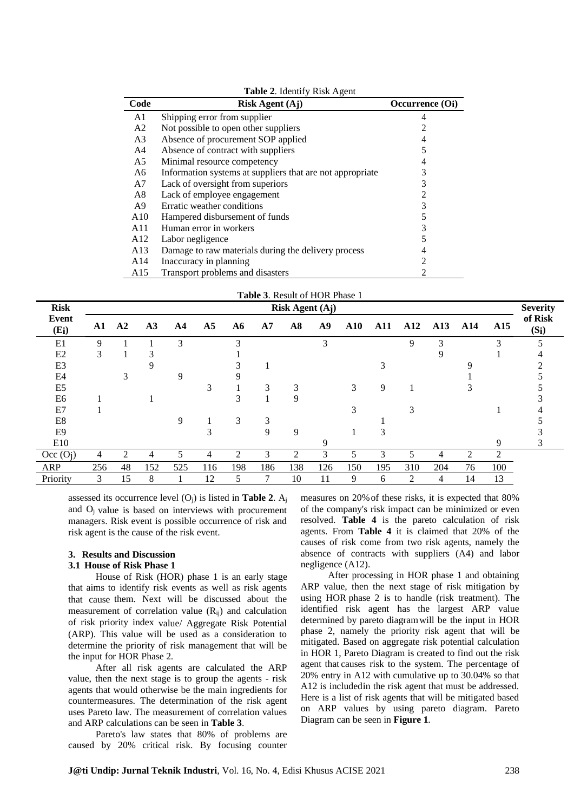| Code            | $\tilde{\phantom{a}}$<br><b>Risk Agent (Aj)</b>           | Occurrence (O <sub>i</sub> ) |
|-----------------|-----------------------------------------------------------|------------------------------|
| A1              | Shipping error from supplier                              |                              |
| A <sub>2</sub>  | Not possible to open other suppliers                      | 2                            |
| A <sub>3</sub>  | Absence of procurement SOP applied                        | 4                            |
| A4              | Absence of contract with suppliers                        |                              |
| A5              | Minimal resource competency                               |                              |
| A6              | Information systems at suppliers that are not appropriate |                              |
| A7              | Lack of oversight from superiors                          | 3                            |
| A8              | Lack of employee engagement                               | $\overline{c}$               |
| A9              | Erratic weather conditions                                | 3                            |
| A10             | Hampered disbursement of funds                            | 5                            |
| A11             | Human error in workers                                    | 3                            |
| A <sub>12</sub> | Labor negligence                                          |                              |
| A13             | Damage to raw materials during the delivery process       | 4                            |
| A14             | Inaccuracy in planning                                    | $\mathfrak{D}$               |
| A15             | Transport problems and disasters                          | 2                            |

| <b>Table 3. Result of HOR Phase 1</b> |                 |    |     |     |                |                |     |               |     |                 |            |                |     |     |     |                    |
|---------------------------------------|-----------------|----|-----|-----|----------------|----------------|-----|---------------|-----|-----------------|------------|----------------|-----|-----|-----|--------------------|
| <b>Risk</b>                           | Risk Agent (Aj) |    |     |     |                |                |     |               |     | <b>Severity</b> |            |                |     |     |     |                    |
| Event<br>$(E_i)$                      | A1              | A2 | A3  | A4  | A <sub>5</sub> | A6             | A7  | $\mathbf{A8}$ | A9  | ${\bf A10}$     | <b>A11</b> | A12            | A13 | A14 | A15 | of Risk<br>$(S_i)$ |
| E1                                    | 9               |    |     | 3   |                | 3              |     |               | 3   |                 |            | 9              | 3   |     | 3   |                    |
| E2                                    | 3               |    | 3   |     |                |                |     |               |     |                 |            |                |     |     |     |                    |
| E <sub>3</sub>                        |                 |    |     |     |                |                |     |               |     |                 |            |                |     |     |     |                    |
| E4                                    |                 |    |     | 9   |                |                |     |               |     |                 |            |                |     |     |     |                    |
| E <sub>5</sub>                        |                 |    |     |     | 3              |                | 3   |               |     | 3               | 9          |                |     |     |     |                    |
| E <sub>6</sub>                        |                 |    |     |     |                |                |     |               |     |                 |            |                |     |     |     |                    |
| E7                                    |                 |    |     |     |                |                |     |               |     | 3               |            | 3              |     |     |     |                    |
| E8                                    |                 |    |     | 9   |                | 3              |     |               |     |                 |            |                |     |     |     |                    |
| E <sub>9</sub>                        |                 |    |     |     |                |                |     | 9             |     |                 |            |                |     |     |     |                    |
| E10                                   |                 |    |     |     |                |                |     |               |     |                 |            |                |     |     | Q   |                    |
| Occ (O <sub>i</sub> )                 | 4               | 2  | 4   | 5   | 4              | $\mathfrak{D}$ |     | 2             | 3   | 5               | 3          | 5              | 4   | 2   | 2   |                    |
| <b>ARP</b>                            | 256             | 48 | 152 | 525 | 116            | 198            | 186 | 138           | 126 | 150             | 195        | 310            | 204 | 76  | 100 |                    |
| Priority                              | 3               | 15 | 8   |     | 12             |                |     | 10            | 11  | 9               | 6          | $\overline{2}$ | 4   | 14  | 13  |                    |

assessed its occurrence level (Oj) is listed in **Table 2**. A<sup>j</sup> and O<sup>j</sup> value is based on interviews with procurement managers. Risk event is possible occurrence of risk and risk agent is the cause of the risk event.

#### **3. Results and Discussion**

## **3.1 House of Risk Phase 1**

House of Risk (HOR) phase 1 is an early stage that aims to identify risk events as well as risk agents that cause them. Next will be discussed about the measurement of correlation value  $(R_{ii})$  and calculation of risk priority index value/ Aggregate Risk Potential (ARP). This value will be used as a consideration to determine the priority of risk management that will be the input for HOR Phase 2.

After all risk agents are calculated the ARP value, then the next stage is to group the agents - risk agents that would otherwise be the main ingredients for countermeasures. The determination of the risk agent uses Pareto law. The measurement of correlation values and ARP calculations can be seen in **Table 3**.

Pareto's law states that 80% of problems are caused by 20% critical risk. By focusing counter measures on 20%of these risks, it is expected that 80% of the company's risk impact can be minimized or even resolved. **Table 4** is the pareto calculation of risk agents. From **Table 4** it is claimed that 20% of the causes of risk come from two risk agents, namely the absence of contracts with suppliers (A4) and labor negligence (A12).

After processing in HOR phase 1 and obtaining ARP value, then the next stage of risk mitigation by using HOR phase 2 is to handle (risk treatment). The identified risk agent has the largest ARP value determined by pareto diagramwill be the input in HOR phase 2, namely the priority risk agent that will be mitigated. Based on aggregate risk potential calculation in HOR 1, Pareto Diagram is created to find out the risk agent that causes risk to the system. The percentage of 20% entry in A12 with cumulative up to 30.04% so that A12 is includedin the risk agent that must be addressed. Here is a list of risk agents that will be mitigated based on ARP values by using pareto diagram. Pareto Diagram can be seen in **Figure 1**.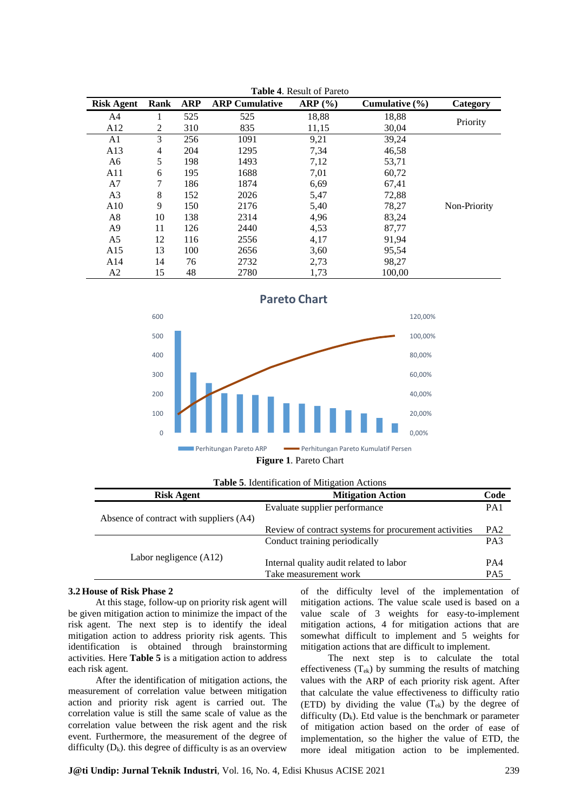| <b>Risk Agent</b> | <b>Rank</b> | <b>ARP</b> | <b>ARP Cumulative</b> | ARP (%) | Cumulative $(\% )$ | Category     |
|-------------------|-------------|------------|-----------------------|---------|--------------------|--------------|
| A4                |             | 525        | 525                   | 18,88   | 18,88              |              |
| A12               | 2           | 310        | 835                   | 11,15   | 30,04              | Priority     |
| A1                | 3           | 256        | 1091                  | 9,21    | 39,24              |              |
| A13               | 4           | 204        | 1295                  | 7,34    | 46,58              |              |
| A6                | 5           | 198        | 1493                  | 7,12    | 53,71              |              |
| A11               | 6           | 195        | 1688                  | 7,01    | 60,72              |              |
| A <sub>7</sub>    | 7           | 186        | 1874                  | 6,69    | 67,41              |              |
| A <sub>3</sub>    | 8           | 152        | 2026                  | 5,47    | 72,88              |              |
| A10               | 9           | 150        | 2176                  | 5,40    | 78,27              | Non-Priority |
| A8                | 10          | 138        | 2314                  | 4,96    | 83,24              |              |
| A <sub>9</sub>    | 11          | 126        | 2440                  | 4,53    | 87,77              |              |
| A5                | 12          | 116        | 2556                  | 4,17    | 91,94              |              |
| A15               | 13          | 100        | 2656                  | 3,60    | 95,54              |              |
| A14               | 14          | 76         | 2732                  | 2,73    | 98,27              |              |
| A <sub>2</sub>    | 15          | 48         | 2780                  | 1,73    | 100,00             |              |

**Table 4**. Result of Pareto



| <b>Table 5.</b> Identification of Mitigation Actions |                                                                  |                        |  |  |  |  |  |  |
|------------------------------------------------------|------------------------------------------------------------------|------------------------|--|--|--|--|--|--|
| <b>Risk Agent</b>                                    | <b>Mitigation Action</b>                                         |                        |  |  |  |  |  |  |
| Absence of contract with suppliers (A4)              | Evaluate supplier performance                                    | PA <sub>1</sub>        |  |  |  |  |  |  |
|                                                      | Review of contract systems for procurement activities            | PA <sub>2</sub>        |  |  |  |  |  |  |
|                                                      | Conduct training periodically                                    | PA <sub>3</sub>        |  |  |  |  |  |  |
| Labor negligence (A12)                               | Internal quality audit related to labor<br>Take measurement work | PA4<br>PA <sub>5</sub> |  |  |  |  |  |  |

#### **3.2 House of Risk Phase 2**

At this stage, follow-up on priority risk agent will be given mitigation action to minimize the impact of the risk agent. The next step is to identify the ideal mitigation action to address priority risk agents. This identification is obtained through brainstorming activities. Here **Table 5** is a mitigation action to address each risk agent.

After the identification of mitigation actions, the measurement of correlation value between mitigation action and priority risk agent is carried out. The correlation value is still the same scale of value as the correlation value between the risk agent and the risk event. Furthermore, the measurement of the degree of difficulty  $(D_k)$ . this degree of difficulty is as an overview

of the difficulty level of the implementation of mitigation actions. The value scale used is based on a value scale of 3 weights for easy-to-implement mitigation actions, 4 for mitigation actions that are somewhat difficult to implement and 5 weights for mitigation actions that are difficult to implement.

The next step is to calculate the total effectiveness (Tek) by summing the results of matching values with the ARP of each priority risk agent. After that calculate the value effectiveness to difficulty ratio (ETD) by dividing the value  $(T_{ek})$  by the degree of difficulty  $(D_k)$ . Etd value is the benchmark or parameter of mitigation action based on the order of ease of implementation, so the higher the value of ETD, the more ideal mitigation action to be implemented.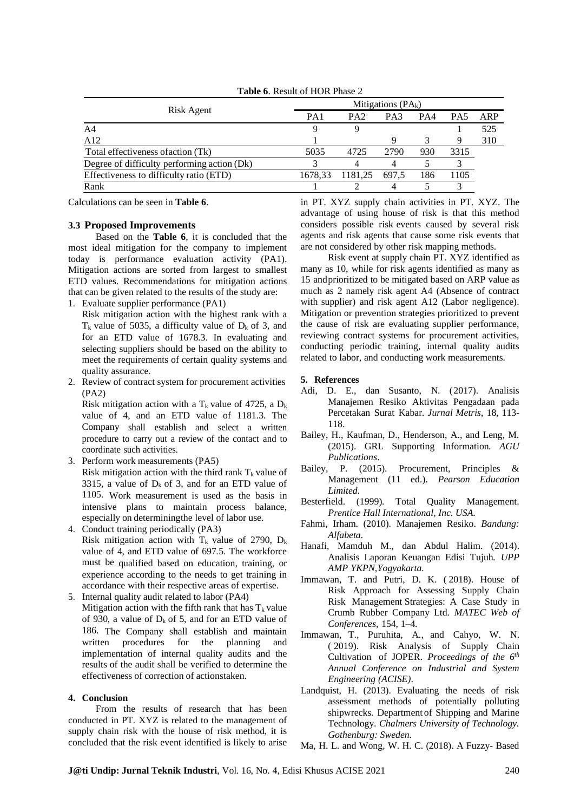|                                             |                 | Mitigations $(PA_k)$ |       |     |                 |     |  |  |  |  |
|---------------------------------------------|-----------------|----------------------|-------|-----|-----------------|-----|--|--|--|--|
| Risk Agent                                  | PA <sub>1</sub> | PA <sub>2</sub>      | PA3   | PA4 | PA <sub>5</sub> | ARP |  |  |  |  |
| A <sub>4</sub>                              |                 |                      |       |     |                 | 525 |  |  |  |  |
| A12                                         |                 |                      |       |     |                 | 310 |  |  |  |  |
| Total effectiveness of action (Tk)          | 5035            | 4725                 | 2790  | 930 | 3315            |     |  |  |  |  |
| Degree of difficulty performing action (Dk) |                 |                      |       |     |                 |     |  |  |  |  |
| Effectiveness to difficulty ratio (ETD)     | 1678.33         | 1181.25              | 697.5 | 186 | 1105            |     |  |  |  |  |
| Rank                                        |                 |                      |       |     |                 |     |  |  |  |  |
|                                             |                 |                      |       |     |                 |     |  |  |  |  |

**Table 6**. Result of HOR Phase 2

Calculations can be seen in **Table 6**.

### **3.3 Proposed Improvements**

Based on the **Table 6**, it is concluded that the most ideal mitigation for the company to implement today is performance evaluation activity (PA1). Mitigation actions are sorted from largest to smallest ETD values. Recommendations for mitigation actions that can be given related to the results of the study are:

1. Evaluate supplier performance (PA1)

Risk mitigation action with the highest rank with a  $T_k$  value of 5035, a difficulty value of  $D_k$  of 3, and for an ETD value of 1678.3. In evaluating and selecting suppliers should be based on the ability to meet the requirements of certain quality systems and quality assurance.

2. Review of contract system for procurement activities (PA2)

Risk mitigation action with a  $T_k$  value of 4725, a  $D_k$ value of 4, and an ETD value of 1181.3. The Company shall establish and select a written procedure to carry out a review of the contact and to coordinate such activities.

- 3. Perform work measurements (PA5) Risk mitigation action with the third rank  $T_k$  value of 3315, a value of  $D_k$  of 3, and for an ETD value of 1105. Work measurement is used as the basis in intensive plans to maintain process balance, especially on determiningthe level of labor use.
- 4. Conduct training periodically (PA3) Risk mitigation action with  $T_k$  value of 2790,  $D_k$ value of 4, and ETD value of 697.5. The workforce must be qualified based on education, training, or experience according to the needs to get training in accordance with their respective areas of expertise.
- 5. Internal quality audit related to labor (PA4) Mitigation action with the fifth rank that has  $T_k$  value of 930, a value of  $D_k$  of 5, and for an ETD value of 186. The Company shall establish and maintain written procedures for the planning and implementation of internal quality audits and the results of the audit shall be verified to determine the effectiveness of correction of actionstaken.

#### **4. Conclusion**

From the results of research that has been conducted in PT. XYZ is related to the management of supply chain risk with the house of risk method, it is concluded that the risk event identified is likely to arise

in PT. XYZ supply chain activities in PT. XYZ. The advantage of using house of risk is that this method considers possible risk events caused by several risk agents and risk agents that cause some risk events that are not considered by other risk mapping methods.

Risk event at supply chain PT. XYZ identified as many as 10, while for risk agents identified as many as 15 andprioritized to be mitigated based on ARP value as much as 2 namely risk agent A4 (Absence of contract with supplier) and risk agent A12 (Labor negligence). Mitigation or prevention strategies prioritized to prevent the cause of risk are evaluating supplier performance, reviewing contract systems for procurement activities, conducting periodic training, internal quality audits related to labor, and conducting work measurements.

#### **5. References**

- Adi, D. E., dan Susanto, N. (2017). Analisis Manajemen Resiko Aktivitas Pengadaan pada Percetakan Surat Kabar*. Jurnal Metris*, 18, 113- 118.
- Bailey, H., Kaufman, D., Henderson, A., and Leng, M. (2015). GRL Supporting Information*. AGU Publications*.
- Bailey, P. (2015). Procurement, Principles & Management (11 ed.). *Pearson Education Limited*.
- Besterfield. (1999). Total Quality Management. *Prentice Hall International, Inc. USA*.
- Fahmi, Irham. (2010). Manajemen Resiko. *Bandung: Alfabeta.*
- Hanafi, Mamduh M., dan Abdul Halim. (2014). Analisis Laporan Keuangan Edisi Tujuh*. UPP AMP YKPN,Yogyakarta.*
- Immawan, T. and Putri, D. K. ( 2018). House of Risk Approach for Assessing Supply Chain Risk Management Strategies: A Case Study in Crumb Rubber Company Ltd. *MATEC Web of Conferences,* 154, 1–4.
- Immawan, T., Puruhita, A., and Cahyo, W. N. ( 2019). Risk Analysis of Supply Chain Cultivation of JOPER. *Proceedings of the 6 th Annual Conference on Industrial and System Engineering (ACISE)*.
- Landquist, H. (2013). Evaluating the needs of risk assessment methods of potentially polluting shipwrecks. Department of Shipping and Marine Technology*. Chalmers University of Technology. Gothenburg: Sweden.*
- Ma, H. L. and Wong, W. H. C. (2018). A Fuzzy- Based